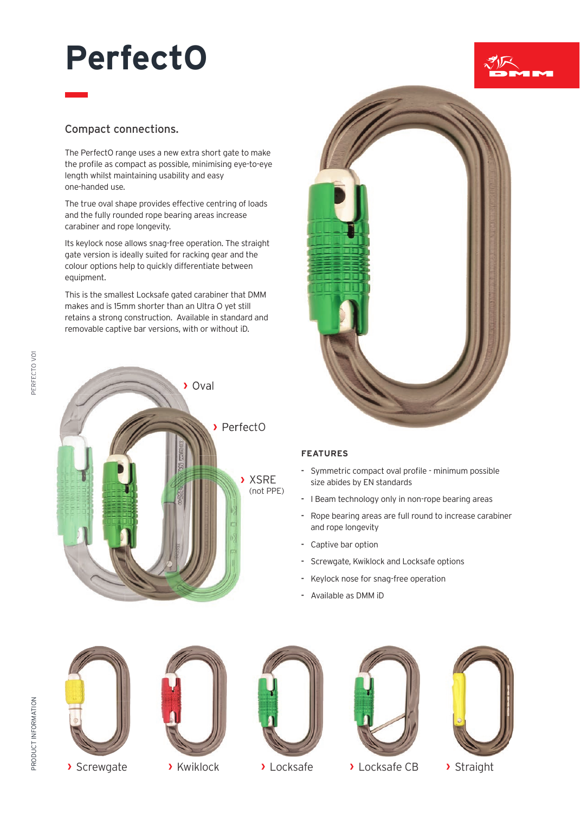# **PerfectO**

# Compact connections.

The PerfectO range uses a new extra short gate to make the profile as compact as possible, minimising eye-to-eye length whilst maintaining usability and easy one-handed use.

The true oval shape provides effective centring of loads and the fully rounded rope bearing areas increase carabiner and rope longevity.

Its keylock nose allows snag-free operation. The straight gate version is ideally suited for racking gear and the colour options help to quickly differentiate between equipment.

This is the smallest Locksafe gated carabiner that DMM makes and is 15mm shorter than an Ultra O yet still retains a strong construction. Available in standard and removable captive bar versions, with or without iD.





### **FEATURES**

- **-** Symmetric compact oval profile minimum possible size abides by EN standards
- **-** I Beam technology only in non-rope bearing areas
- **-** Rope bearing areas are full round to increase carabiner and rope longevity
- **-** Captive bar option
- **-** Screwgate, Kwiklock and Locksafe options
- **-** Keylock nose for snag-free operation
- **-** Available as DMM iD

PERFECTO VOI





**›** Screwgate **›** Kwiklock **›** Locksafe **›** Locksafe CB **›** Straight